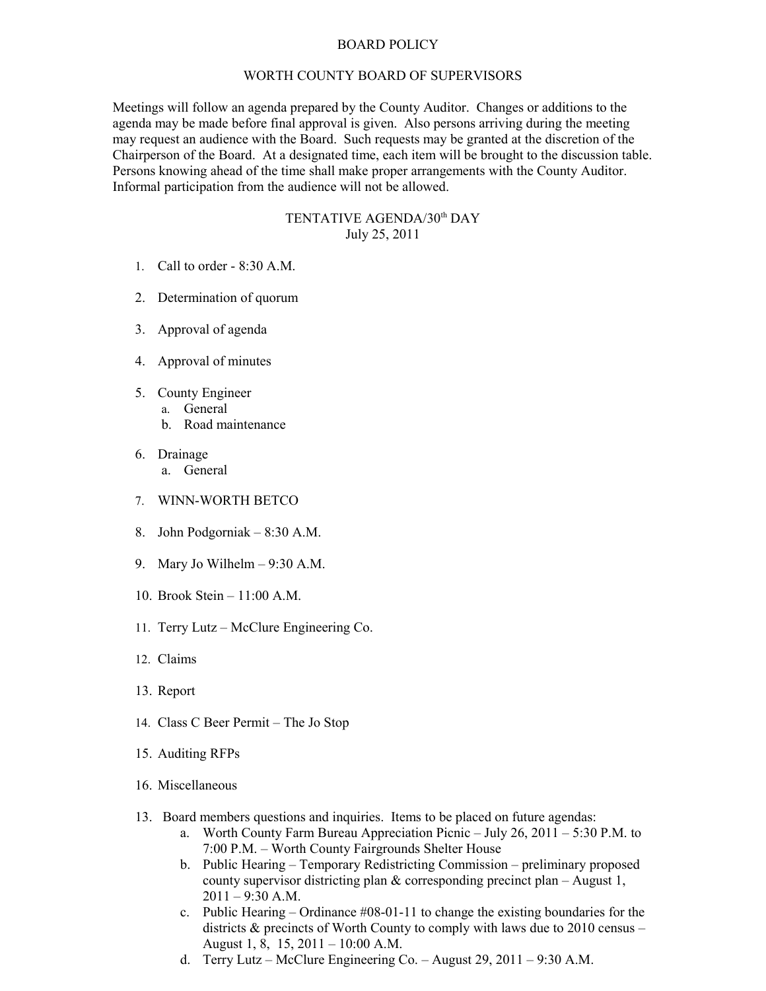## BOARD POLICY

## WORTH COUNTY BOARD OF SUPERVISORS

Meetings will follow an agenda prepared by the County Auditor. Changes or additions to the agenda may be made before final approval is given. Also persons arriving during the meeting may request an audience with the Board. Such requests may be granted at the discretion of the Chairperson of the Board. At a designated time, each item will be brought to the discussion table. Persons knowing ahead of the time shall make proper arrangements with the County Auditor. Informal participation from the audience will not be allowed.

## TENTATIVE AGENDA/30<sup>th</sup> DAY July 25, 2011

- 1. Call to order 8:30 A.M.
- 2. Determination of quorum
- 3. Approval of agenda
- 4. Approval of minutes
- 5. County Engineer
	- a. General
		- b. Road maintenance
- 6. Drainage a. General
- 7. WINN-WORTH BETCO
- 8. John Podgorniak 8:30 A.M.
- 9. Mary Jo Wilhelm 9:30 A.M.
- 10. Brook Stein 11:00 A.M.
- 11. Terry Lutz McClure Engineering Co.
- 12. Claims
- 13. Report
- 14. Class C Beer Permit The Jo Stop
- 15. Auditing RFPs
- 16. Miscellaneous
- 13. Board members questions and inquiries. Items to be placed on future agendas:
	- a. Worth County Farm Bureau Appreciation Picnic July 26, 2011 5:30 P.M. to 7:00 P.M. – Worth County Fairgrounds Shelter House
	- b. Public Hearing Temporary Redistricting Commission preliminary proposed county supervisor districting plan & corresponding precinct plan – August 1,  $2011 - 9:30$  A.M.
	- c. Public Hearing Ordinance #08-01-11 to change the existing boundaries for the districts & precincts of Worth County to comply with laws due to 2010 census – August 1, 8, 15, 2011 – 10:00 A.M.
	- d. Terry Lutz McClure Engineering Co. August 29, 2011 9:30 A.M.